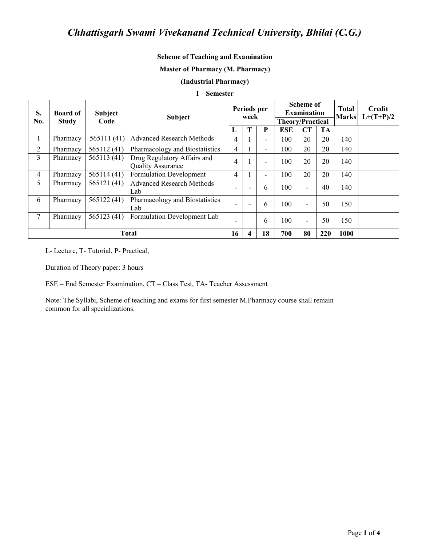### **Scheme of Teaching and Examination**

#### **Master of Pharmacy (M. Pharmacy)**

### (Industrial Pharmacy)

#### I – Semester

| S.<br>No.      | <b>Board of</b><br><b>Study</b> | <b>Subject</b><br>Code | <b>Subject</b><br>L                                     |                          | Periods per<br>week |    |            | <b>Scheme of</b><br><b>Examination</b><br><b>Theory/Practical</b> |           |      | <b>Credit</b><br>$L+(T+P)/2$ |
|----------------|---------------------------------|------------------------|---------------------------------------------------------|--------------------------|---------------------|----|------------|-------------------------------------------------------------------|-----------|------|------------------------------|
|                |                                 |                        |                                                         |                          |                     | P  | <b>ESE</b> | CT                                                                | <b>TA</b> |      |                              |
| 1              | Pharmacy                        | 565111(41)             | <b>Advanced Research Methods</b>                        | $\overline{4}$           |                     | -  | 100        | 20                                                                | 20        | 140  |                              |
| 2              | Pharmacy                        | 565112(41)             | Pharmacology and Biostatistics                          |                          |                     | Ξ. | 100        | 20                                                                | 20        | 140  |                              |
| 3              | Pharmacy                        | 565113 (41)            | Drug Regulatory Affairs and<br><b>Quality Assurance</b> |                          |                     | -  | 100        | 20                                                                | 20        | 140  |                              |
| $\overline{4}$ | Pharmacy                        | 565114 (41)            | <b>Formulation Development</b>                          | 4                        |                     | Ξ. | 100        | 20                                                                | 20        | 140  |                              |
| 5              | Pharmacy                        | 565121 (41)            | <b>Advanced Research Methods</b><br>Lab                 | $\overline{\phantom{0}}$ |                     | 6  | 100        | $\blacksquare$                                                    | 40        | 140  |                              |
| 6              | Pharmacy                        | 565122 (41)            | Pharmacology and Biostatistics<br>Lab                   | $\overline{\phantom{a}}$ |                     | 6  | 100        | $\blacksquare$                                                    | 50        | 150  |                              |
| 7              | Pharmacy                        | 565123 (41)            | Formulation Development Lab                             | $\overline{\phantom{0}}$ |                     | 6  | 100        | $\blacksquare$                                                    | 50        | 150  |                              |
|                | <b>Total</b>                    |                        |                                                         |                          |                     | 18 | 700        | 80                                                                | 220       | 1000 |                              |

L- Lecture, T- Tutorial, P- Practical,

Duration of Theory paper: 3 hours

ESE - End Semester Examination, CT - Class Test, TA- Teacher Assessment

Note: The Syllabi, Scheme of teaching and exams for first semester M.Pharmacy course shall remain common for all specializations.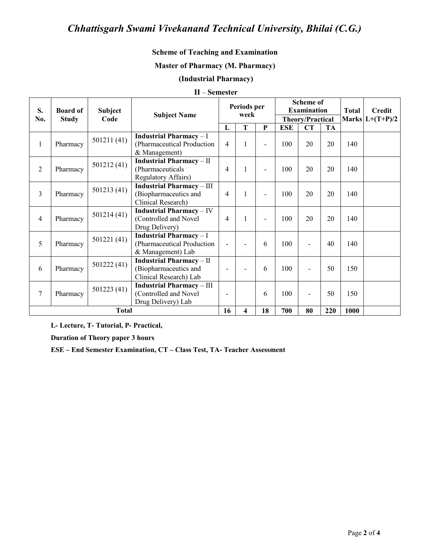# Chhattisgarh Swami Vivekanand Technical University, Bhilai (C.G.)

# **Scheme of Teaching and Examination**

### **Master of Pharmacy (M. Pharmacy)**

## (Industrial Pharmacy)

## $II$  – Semester

| S.             | <b>Board of</b><br><b>Study</b> | <b>Subject</b><br>Code | <b>Subject Name</b>                                                              | Periods per<br>week      |   |                          | <b>Scheme of</b><br><b>Examination</b> |                          |           | <b>Total</b>      | <b>Credit</b> |
|----------------|---------------------------------|------------------------|----------------------------------------------------------------------------------|--------------------------|---|--------------------------|----------------------------------------|--------------------------|-----------|-------------------|---------------|
| No.            |                                 |                        | T<br>L                                                                           |                          |   | <b>Theory/Practical</b>  |                                        |                          |           | Marks $L+(T+P)/2$ |               |
|                |                                 |                        |                                                                                  |                          |   | $\mathbf{P}$             | <b>ESE</b>                             | <b>CT</b>                | <b>TA</b> |                   |               |
| $\mathbf{1}$   | Pharmacy                        | 501211 (41)            | <b>Industrial Pharmacy</b> $-1$<br>(Pharmaceutical Production<br>& Management)   | $\overline{4}$           | 1 |                          | 100                                    | 20                       | 20        | 140               |               |
| $\overline{2}$ | Pharmacy                        | 501212 (41)            | <b>Industrial Pharmacy-II</b><br>(Pharmaceuticals<br><b>Regulatory Affairs)</b>  | 4                        | 1 | $\overline{a}$           | 100                                    | 20                       | 20        | 140               |               |
| 3              | Pharmacy                        | 501213(41)             | <b>Industrial Pharmacy-III</b><br>(Biopharmaceutics and<br>Clinical Research)    | 4                        | 1 |                          | 100                                    | 20                       | 20        | 140               |               |
| $\overline{4}$ | Pharmacy                        | 501214 (41)            | <b>Industrial Pharmacy-IV</b><br>(Controlled and Novel<br>Drug Delivery)         | 4                        | 1 | $\overline{\phantom{0}}$ | 100                                    | 20                       | 20        | 140               |               |
| 5              | Pharmacy                        | 501221(41)             | <b>Industrial Pharmacy-I</b><br>(Pharmaceutical Production<br>& Management) Lab  |                          |   | 6                        | 100                                    | $\overline{\phantom{a}}$ | 40        | 140               |               |
| 6              | Pharmacy                        | 501222 (41)            | <b>Industrial Pharmacy-II</b><br>(Biopharmaceutics and<br>Clinical Research) Lab | $\overline{\phantom{0}}$ |   | 6                        | 100                                    | $\overline{\phantom{a}}$ | 50        | 150               |               |
| 7              | Pharmacy                        | 501223 (41)            | <b>Industrial Pharmacy-III</b><br>(Controlled and Novel<br>Drug Delivery) Lab    |                          |   | 6                        | 100                                    | $\overline{\phantom{a}}$ | 50        | 150               |               |
|                | <b>Total</b>                    |                        |                                                                                  |                          |   | 18                       | 700                                    | 80                       | 220       | 1000              |               |

L- Lecture, T- Tutorial, P- Practical,

**Duration of Theory paper 3 hours** 

ESE - End Semester Examination, CT - Class Test, TA- Teacher Assessment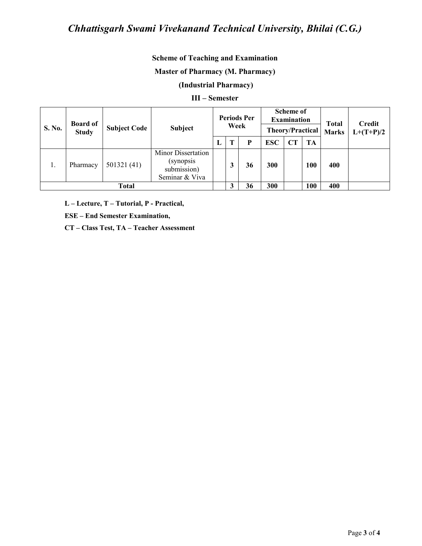# Chhattisgarh Swami Vivekanand Technical University, Bhilai (C.G.)

## **Scheme of Teaching and Examination**

### **Master of Pharmacy (M. Pharmacy)**

# (Industrial Pharmacy)

#### III - Semester

| S. No.       | <b>Board of</b><br><b>Study</b> | <b>Subject Code</b> | <b>Subject</b>                                                    | <b>Periods Per</b><br>Week |  |    | <b>Scheme of</b><br><b>Examination</b><br><b>Theory/Practical</b> |           |     | <b>Total</b><br><b>Marks</b> | <b>Credit</b><br>$L+(T+P)/2$ |
|--------------|---------------------------------|---------------------|-------------------------------------------------------------------|----------------------------|--|----|-------------------------------------------------------------------|-----------|-----|------------------------------|------------------------------|
|              |                                 |                     |                                                                   | L                          |  | P  | <b>ESC</b>                                                        | <b>CT</b> | TA  |                              |                              |
| 1.           | Pharmacy                        | 501321(41)          | Minor Dissertation<br>(synopsis)<br>submission)<br>Seminar & Viva |                            |  | 36 | 300                                                               |           | 100 | 400                          |                              |
| <b>Total</b> |                                 |                     |                                                                   |                            |  | 36 | 300                                                               |           | 100 | 400                          |                              |

L - Lecture, T - Tutorial, P - Practical,

**ESE - End Semester Examination,** 

CT - Class Test, TA - Teacher Assessment